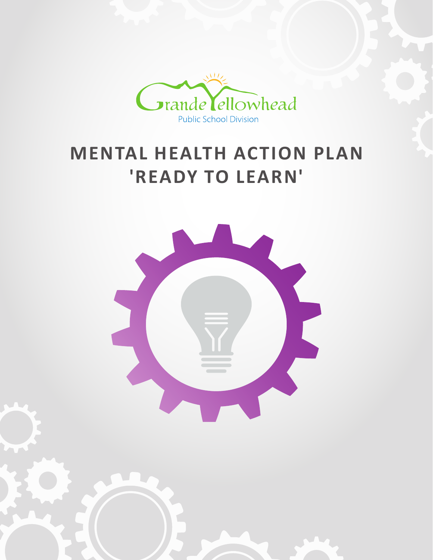

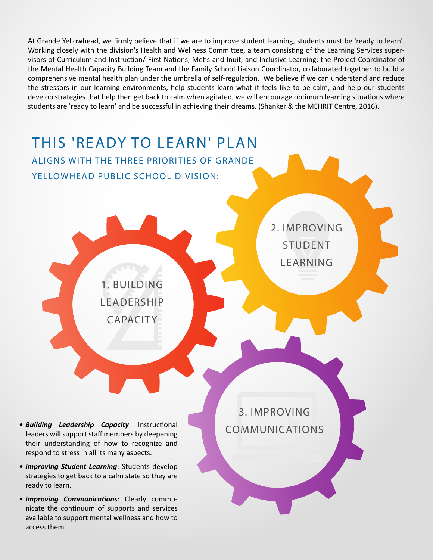**MENTAL HEALTH ACTION PLAN** At Grande Yellowhead, we firmly believe that if we are to improve student learning, students must be 'ready to learn'.<br>Working closely with the division's Health and Wellness Committee. a team consisting of the Learning Se Working closely with the division's Health and Wellness Committee, a team consisting of the Learning Services supervisors of Curriculum and Instruction/ First Nations, Metis and Inuit, and Inclusive Learning; the Project Coordinator of the Mental Health Capacity Building Team and the Family School Liaison Coordinator, collaborated together to build a comprehensive mental health plan under the umbrella of self-regulation. We believe if we can understand and reduce the stressors in our learning environments, help students learn what it feels like to be calm, and help our students develop strategies that help then get back to calm when agitated, we will encourage optimum learning situations where students are 'ready to learn' and be successful in achieving their dreams. (Shanker & the MEHRIT Centre, 2016).

# THIS 'READY TO LEARN' PLAN ALIGNS WITH THE THREE PRIORITIES OF GRANDE YELLOWHEAD PUBLIC SCHOOL DIVISION: 1. BUILDING LEADERSHIP CAPACITY 3. IMPROVING COMMUNICATIONS 2. IMPROVING STUDENT **LEARNING** *• Building Leadership Capacity*: Instructional leaders will support staff members by deepening their understanding of how to recognize and respond to stress in all its many aspects.

- *• Improving Student Learning*: Students develop strategies to get back to a calm state so they are ready to learn.
- *• Improving Communications*: Clearly communicate the continuum of supports and services available to support mental wellness and how to access them.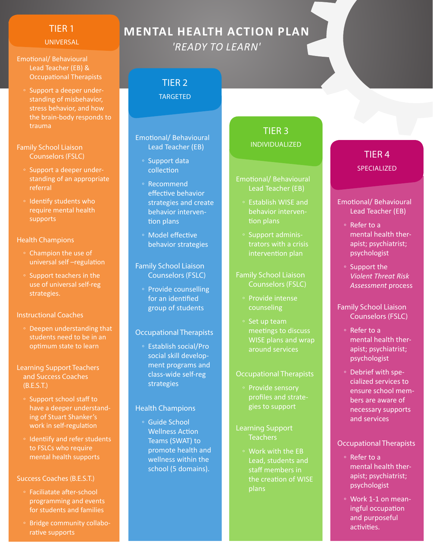## TIER 1

### UNIVERSAL

- Emotional/ Behavioural Lead Teacher (EB) & Occupational Therapists
	- Support a deeper understanding of misbehavior, stress behavior, and how the brain-body responds to trauma

### Family School Liaison Counselors (FSLC)

- Support a deeper understanding of an appropriate referral
- Identify students who require mental health supports

### Health Champions

- Champion the use of universal self –regulation
- Support teachers in the use of universal self-reg strategies.

### Instructional Coaches

◦ Deepen understanding that students need to be in an optimum state to learn

### Learning Support Teachers and Success Coaches (B.E.S.T.)

- Support school staff to have a deeper understanding of Stuart Shanker's work in self-regulation
- Identiify and refer students to FSLCs who require mental health supports

## Success Coaches (B.E.S.T.)

- Faciliatate after-school programming and events for students and families
- Bridge community collaborative supports

# **MENTAL HEALTH ACTION PLAN** *'READY TO LEARN'*

## TIER 2 TARGETED

## Emotional/ Behavioural Lead Teacher (EB)

- Support data collection
- Recommend effective behavior strategies and create behavior intervention plans
- Model effective behavior strategies

### Family School Liaison Counselors (FSLC)

◦ Provide counselling for an identified group of students

## Occupational Therapists

◦ Establish social/Pro social skill development programs and class-wide self-reg strategies

### Health Champions

◦ Guide School Wellness Action Teams (SWAT) to promote health and wellness within the school (5 domains).

## TIER 3 INDIVIDUALIZED

## Emotional/ Behavioural Lead Teacher (EB)

- Establish WISE and behavior interven-
- Support administrators with a crisis intervention plan

### Family School Liaison Counselors (FSLC)

- Provide intense counseling
- Set up team meetings to discuss WISE plans and wrap around services

### Occupational Therapists

- Provide sensory profiles and strategies to support
- Learning Support Teachers
	- Work with the EB Lead, students and staff members in the creation of WISE plans

## TIER 4 SPECIALIZED

## Emotional/ Behavioural Lead Teacher (EB)

- Refer to a mental health therapist; psychiatrist; psychologist
- Support the *Violent Threat Risk Assessment* process

## Family School Liaison Counselors (FSLC)

- Refer to a mental health therapist; psychiatrist; psychologist
- Debrief with specialized services to ensure school members are aware of necessary supports and services

## Occupational Therapists

- Refer to a mental health therapist; psychiatrist; psychologist
- Work 1-1 on meaningful occupation and purposeful activities.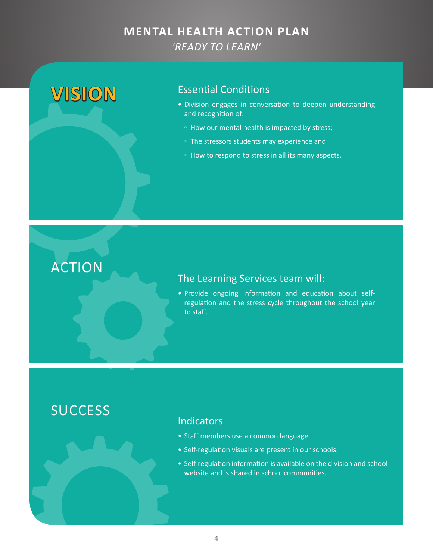# **VISION** Essential Conditions

- Division engages in conversation to deepen understanding and recognition of:
	- How our mental health is impacted by stress;
	- The stressors students may experience and
	- How to respond to stress in all its many aspects.

# ACTION

## The Learning Services team will:

• Provide ongoing information and education about selfregulation and the stress cycle throughout the school year to staff.

# **SUCCESS**

## **Indicators**

- Staff members use a common language.
- Self-regulation visuals are present in our schools.
- Self-regulation information is available on the division and school website and is shared in school communities.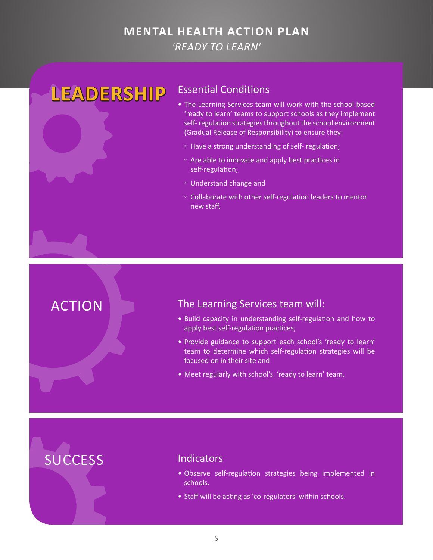# **LEADERSHIP** Essential Conditions

- The Learning Services team will work with the school based 'ready to learn' teams to support schools as they implement self- regulation strategies throughout the school environment (Gradual Release of Responsibility) to ensure they:
	- Have a strong understanding of self- regulation;
	- Are able to innovate and apply best practices in self-regulation;
	- Understand change and
	- Collaborate with other self-regulation leaders to mentor new staff.

## ACTION The Learning Services team will:

- Build capacity in understanding self-regulation and how to apply best self-regulation practices;
- Provide guidance to support each school's 'ready to learn' team to determine which self-regulation strategies will be focused on in their site and
- Meet regularly with school's 'ready to learn' team.

- Observe self-regulation strategies being implemented in schools.
- Staff will be acting as 'co-regulators' within schools.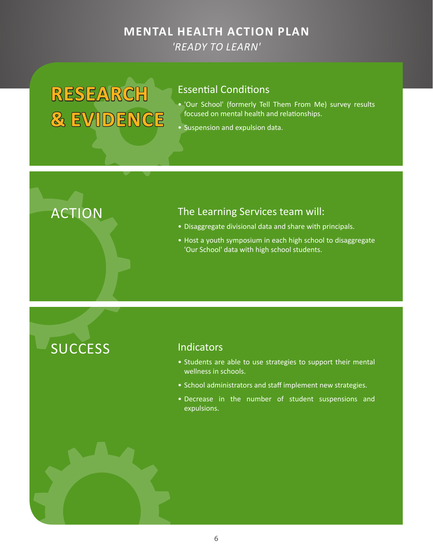# **RESEARCH & EVIDENCE**

## Essential Conditions

- 'Our School' (formerly Tell Them From Me) survey results focused on mental health and relationships.
- Suspension and expulsion data.

# ACTION The Learning Services team will:

- Disaggregate divisional data and share with principals.
- Host a youth symposium in each high school to disaggregate 'Our School' data with high school students.

- Students are able to use strategies to support their mental wellness in schools.
- School administrators and staff implement new strategies.
- Decrease in the number of student suspensions and expulsions.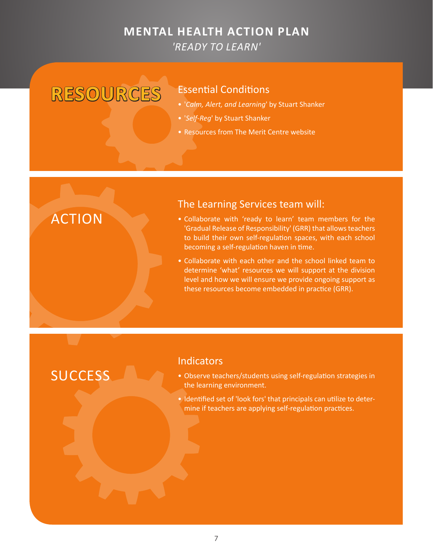# **RESOURCES** Essential Conditions

- '*Calm, Alert, and Learning*' by Stuart Shanker
- '*Self-Reg*' by Stuart Shanker
- Resources from The Merit Centre website

# ACTION

## The Learning Services team will:

- Collaborate with 'ready to learn' team members for the 'Gradual Release of Responsibility' (GRR) that allows teachers to build their own self-regulation spaces, with each school becoming a self-regulation haven in time.
- Collaborate with each other and the school linked team to determine 'what' resources we will support at the division level and how we will ensure we provide ongoing support as these resources become embedded in practice (GRR).

# **SUCCESS**

## **Indicators**

- Observe teachers/students using self-regulation strategies in the learning environment.
- Identified set of 'look fors' that principals can utilize to determine if teachers are applying self-regulation practices.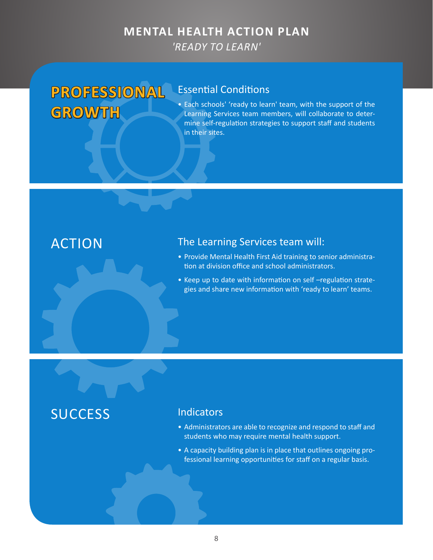# **PROFESSIONAL GROWTH**

## Essential Conditions

• Each schools' 'ready to learn' team, with the support of the Learning Services team members, will collaborate to determine self-regulation strategies to support staff and students in their sites.

## ACTION The Learning Services team will:

- Provide Mental Health First Aid training to senior administration at division office and school administrators.
- Keep up to date with information on self –regulation strategies and share new information with 'ready to learn' teams.

- Administrators are able to recognize and respond to staff and students who may require mental health support.
- A capacity building plan is in place that outlines ongoing professional learning opportunities for staff on a regular basis.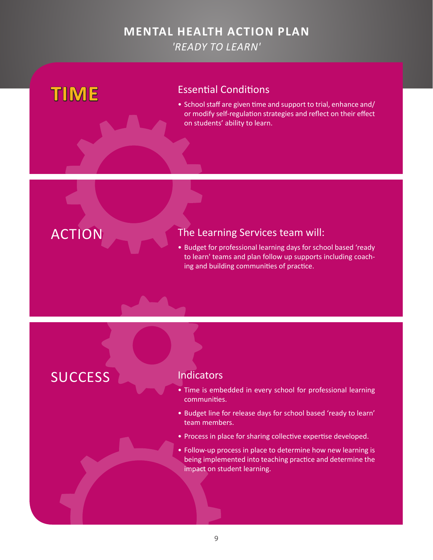# **TIME** Essential Conditions

• School staff are given time and support to trial, enhance and/ or modify self-regulation strategies and reflect on their effect on students' ability to learn.



## ACTION The Learning Services team will:

• Budget for professional learning days for school based 'ready to learn' teams and plan follow up supports including coaching and building communities of practice.

- Time is embedded in every school for professional learning communities.
- Budget line for release days for school based 'ready to learn' team members.
- Process in place for sharing collective expertise developed.
- Follow-up process in place to determine how new learning is being implemented into teaching practice and determine the impact on student learning.